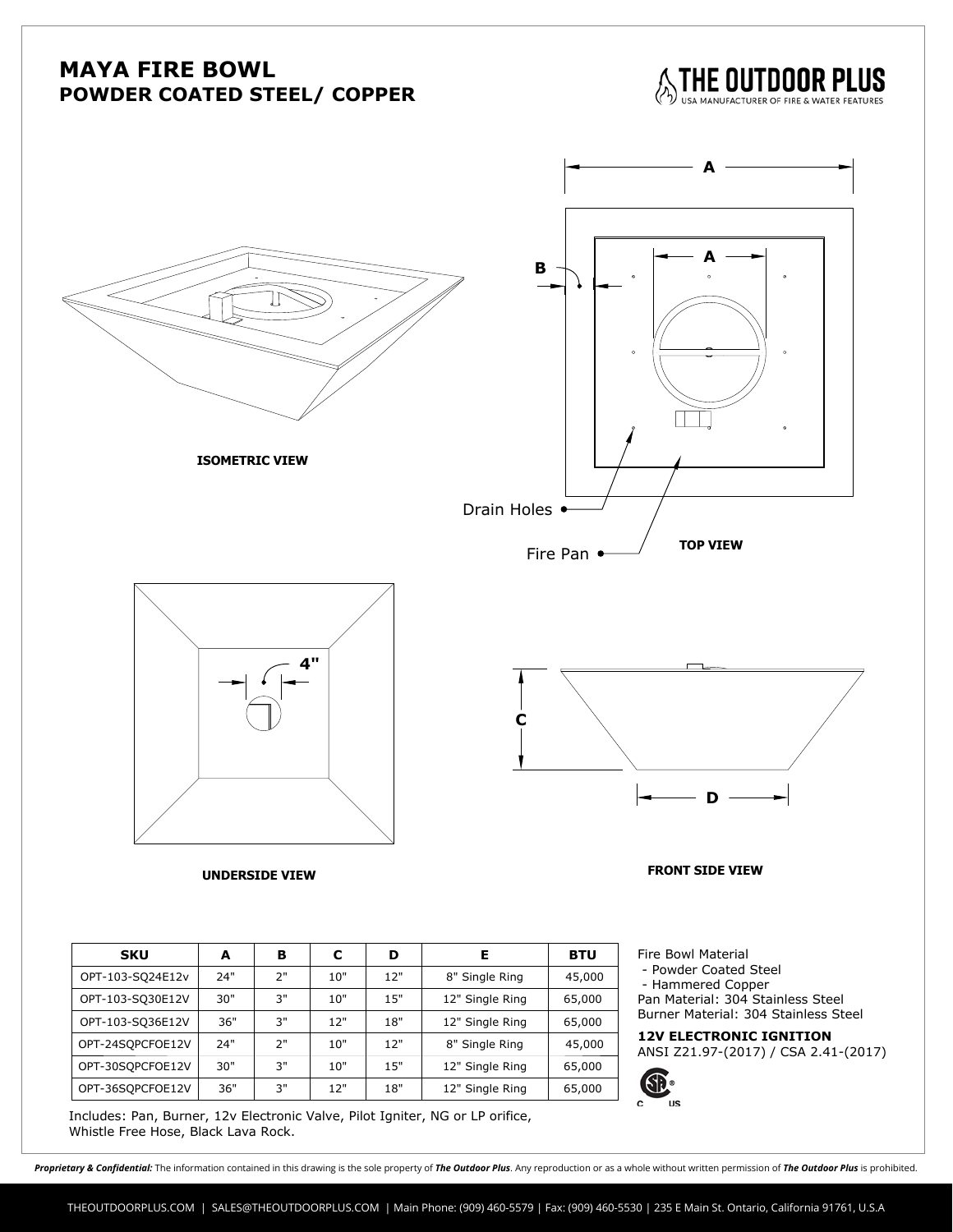## **MAYA FIRE BOWL POWDER COATED STEEL/ COPPER**

THE OUTDOOR PLUS



**ISOMETRIC VIEW**



**A**



**D** 

**UNDERSIDE VIEW FRONT SIDE VIEW**

| <b>SKU</b>       | A   | в  | с   | D   | Е               | <b>BTU</b> | Fire Bowl Material                                             |
|------------------|-----|----|-----|-----|-----------------|------------|----------------------------------------------------------------|
| OPT-103-SQ24E12v | 24" | 2" | 10" | 12" | 8" Single Ring  | 45,000     | - Powder Coated Steel<br>- Hammered Copper                     |
| OPT-103-SQ30E12V | 30" | 3" | 10" | 15" | 12" Single Ring | 65,000     | Pan Material: 304 Stainless Ste                                |
| OPT-103-SQ36E12V | 36" | 3" | 12" | 18" | 12" Single Ring | 65,000     | Burner Material: 304 Stainless                                 |
| OPT-24SOPCFOE12V | 24" | 2" | 10" | 12" | 8" Single Ring  | 45,000     | <b>12V ELECTRONIC IGNITION</b><br>ANSI Z21.97-(2017) / CSA 2.4 |
| OPT-30SOPCFOE12V | 30" | 3" | 10" | 15" | 12" Single Ring | 65,000     |                                                                |
| OPT-36SOPCFOE12V | 36" | 3" | 12" | 18" | 12" Single Ring | 65,000     | ®                                                              |

Includes: Pan, Burner, 12v Electronic Valve, Pilot Igniter, NG or LP orifice,

Fire Bowl Material **- Powder Coated Steel Steel** <u>- Hammered</u> Copper Pan Material: 304 Stainless Steel Burner Material: 304 Stainless Steel

# ANSI Z21.97-(2017) / CSA 2.41-(2017)



Proprietary & Confidential: The information contained in this drawing is the sole property of The Outdoor Plus. Any reproduction or as a whole without written permission of The Outdoor Plus is prohibited.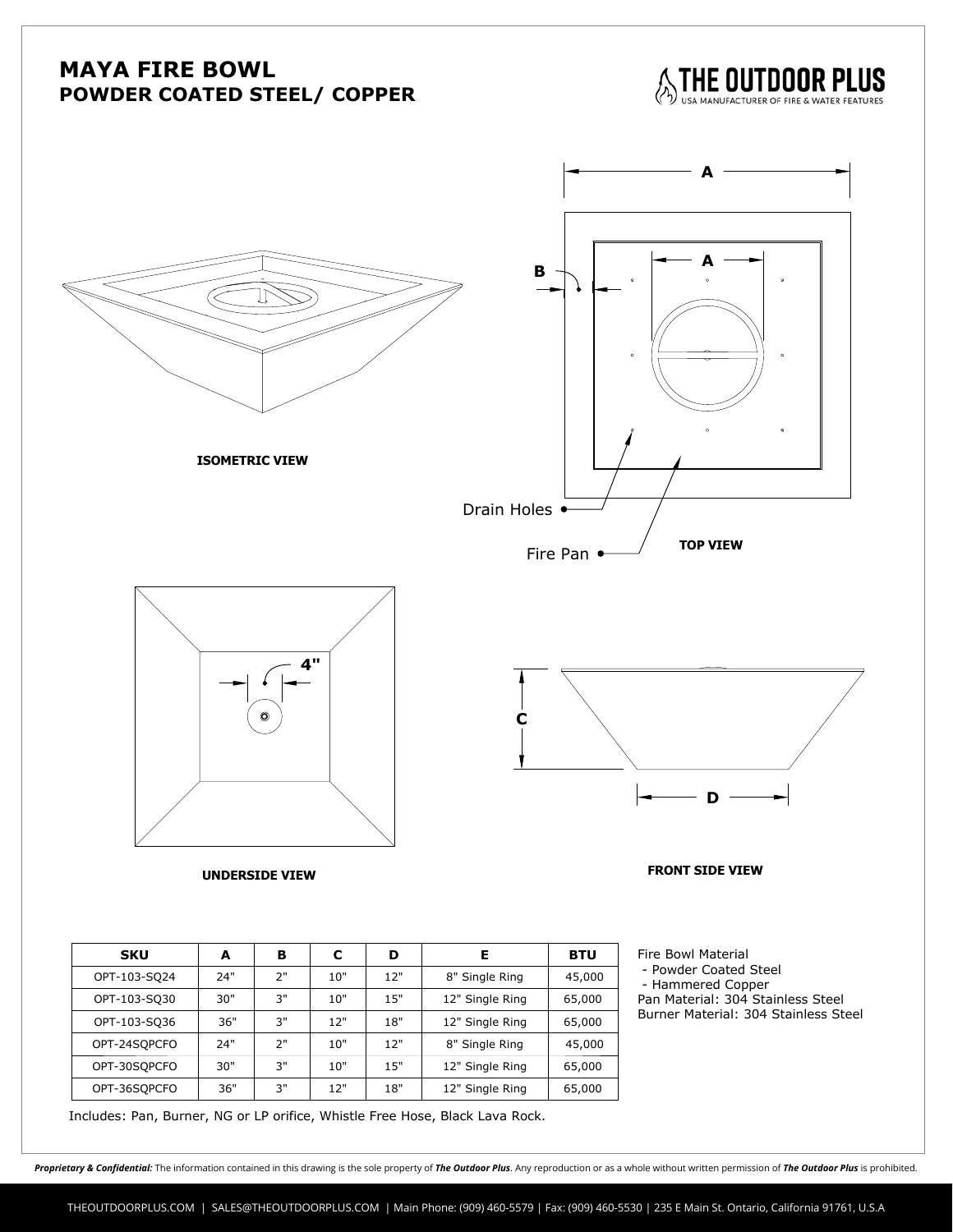## **MAYA FIRE BOWL POWDER COATED STEEL/ COPPER**

THE OUTDOOR PLUS



**ISOMETRIC VIEW**



**A** 



**D**

### **UNDERSIDE VIEW FRONT SIDE VIEW**

| <b>SKU</b>   | A   | в  | С   | D   | Е               | <b>BTU</b> |
|--------------|-----|----|-----|-----|-----------------|------------|
| OPT-103-SQ24 | 24" | ን" | 10" | 12" | 8" Single Ring  | 45,000     |
| OPT-103-SQ30 | 30" | 3" | 10" | 15" | 12" Single Ring | 65,000     |
| OPT-103-SQ36 | 36" | 3" | 12" | 18" | 12" Single Ring | 65,000     |
| OPT-24SQPCFO | 24" | ን" | 10" | 12" | 8" Single Ring  | 45,000     |
| OPT-30SOPCFO | 30" | 3" | 10" | 15" | 12" Single Ring | 65,000     |
| OPT-36SQPCFO | 36" | 3" | 12" | 18" | 12" Single Ring | 65,000     |

Fire Bowl Material **- Powder Coated Steel Steel** <u>- Hammered</u> Copper Pan Material: 304 Stainless Steel Burner Material: 304 Stainless Steel

Includes: Pan, Burner, NG or LP orifice, Whistle Free Hose, Black Lava Rock.

Proprietary & Confidential: The information contained in this drawing is the sole property of The Outdoor Plus. Any reproduction or as a whole without written permission of The Outdoor Plus is prohibited.